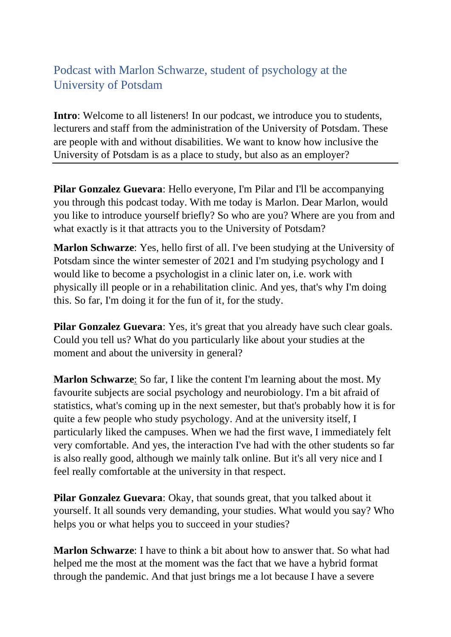## Podcast with Marlon Schwarze, student of psychology at the University of Potsdam

**Intro**: Welcome to all listeners! In our podcast, we introduce you to students, lecturers and staff from the administration of the University of Potsdam. These are people with and without disabilities. We want to know how inclusive the University of Potsdam is as a place to study, but also as an employer?

**Pilar Gonzalez Guevara**: Hello everyone, I'm Pilar and I'll be accompanying you through this podcast today. With me today is Marlon. Dear Marlon, would you like to introduce yourself briefly? So who are you? Where are you from and what exactly is it that attracts you to the University of Potsdam?

**Marlon Schwarze**: Yes, hello first of all. I've been studying at the University of Potsdam since the winter semester of 2021 and I'm studying psychology and I would like to become a psychologist in a clinic later on, i.e. work with physically ill people or in a rehabilitation clinic. And yes, that's why I'm doing this. So far, I'm doing it for the fun of it, for the study.

**Pilar Gonzalez Guevara:** Yes, it's great that you already have such clear goals. Could you tell us? What do you particularly like about your studies at the moment and about the university in general?

**[Marlon Schwarze](https://www.happyscribe.com/fr/transcriptions/8577783850c44f74a1a8b8fa97790635/edit_v2?position=83.63&utm_source=happyscribe&utm_medium=document_deep_link&utm_campaign=editor_copy_all&utm_content=8577783850c44f74a1a8b8fa97790635)**: So far, I like the content I'm learning about the most. My favourite subjects are social psychology and neurobiology. I'm a bit afraid of statistics, what's coming up in the next semester, but that's probably how it is for quite a few people who study psychology. And at the university itself, I particularly liked the campuses. When we had the first wave, I immediately felt very comfortable. And yes, the interaction I've had with the other students so far is also really good, although we mainly talk online. But it's all very nice and I feel really comfortable at the university in that respect.

**Pilar Gonzalez Guevara**: Okay, that sounds great, that you talked about it yourself. It all sounds very demanding, your studies. What would you say? Who helps you or what helps you to succeed in your studies?

**[Marlon Schwarze](https://www.happyscribe.com/fr/transcriptions/8577783850c44f74a1a8b8fa97790635/edit_v2?position=137.08&utm_source=happyscribe&utm_medium=document_deep_link&utm_campaign=editor_copy_all&utm_content=8577783850c44f74a1a8b8fa97790635)**: I have to think a bit about how to answer that. So what had helped me the most at the moment was the fact that we have a hybrid format through the pandemic. And that just brings me a lot because I have a severe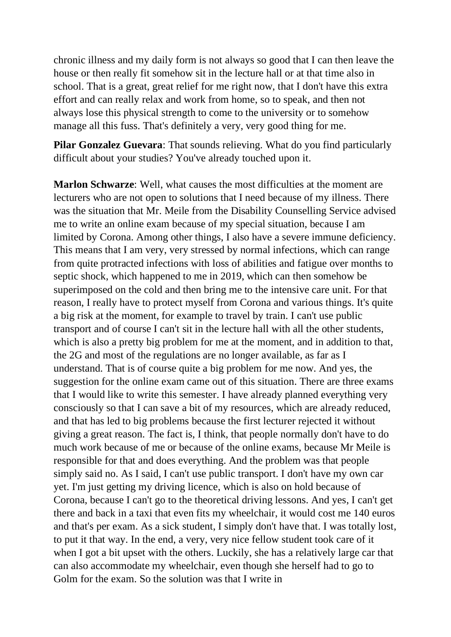chronic illness and my daily form is not always so good that I can then leave the house or then really fit somehow sit in the lecture hall or at that time also in school. That is a great, great relief for me right now, that I don't have this extra effort and can really relax and work from home, so to speak, and then not always lose this physical strength to come to the university or to somehow manage all this fuss. That's definitely a very, very good thing for me.

**Pilar Gonzalez Guevara**: That sounds relieving. What do you find particularly difficult about your studies? You've already touched upon it.

**Marlon Schwarze:** Well, what causes the most difficulties at the moment are lecturers who are not open to solutions that I need because of my illness. There was the situation that Mr. Meile from the Disability Counselling Service advised me to write an online exam because of my special situation, because I am limited by Corona. Among other things, I also have a severe immune deficiency. This means that I am very, very stressed by normal infections, which can range from quite protracted infections with loss of abilities and fatigue over months to septic shock, which happened to me in 2019, which can then somehow be superimposed on the cold and then bring me to the intensive care unit. For that reason, I really have to protect myself from Corona and various things. It's quite a big risk at the moment, for example to travel by train. I can't use public transport and of course I can't sit in the lecture hall with all the other students, which is also a pretty big problem for me at the moment, and in addition to that, the 2G and most of the regulations are no longer available, as far as I understand. That is of course quite a big problem for me now. And yes, the suggestion for the online exam came out of this situation. There are three exams that I would like to write this semester. I have already planned everything very consciously so that I can save a bit of my resources, which are already reduced, and that has led to big problems because the first lecturer rejected it without giving a great reason. The fact is, I think, that people normally don't have to do much work because of me or because of the online exams, because Mr Meile is responsible for that and does everything. And the problem was that people simply said no. As I said, I can't use public transport. I don't have my own car yet. I'm just getting my driving licence, which is also on hold because of Corona, because I can't go to the theoretical driving lessons. And yes, I can't get there and back in a taxi that even fits my wheelchair, it would cost me 140 euros and that's per exam. As a sick student, I simply don't have that. I was totally lost, to put it that way. In the end, a very, very nice fellow student took care of it when I got a bit upset with the others. Luckily, she has a relatively large car that can also accommodate my wheelchair, even though she herself had to go to Golm for the exam. So the solution was that I write in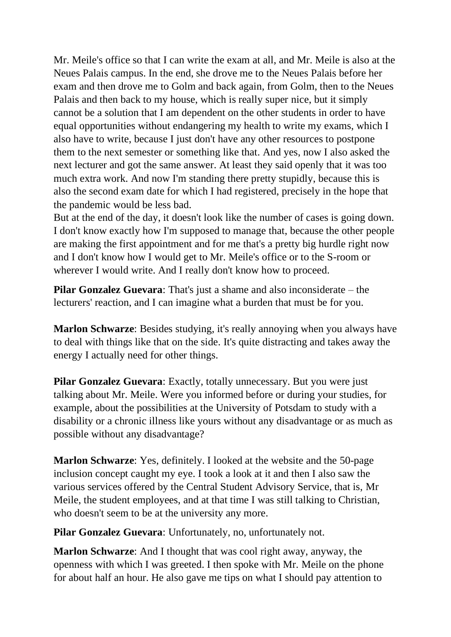Mr. Meile's office so that I can write the exam at all, and Mr. Meile is also at the Neues Palais campus. In the end, she drove me to the Neues Palais before her exam and then drove me to Golm and back again, from Golm, then to the Neues Palais and then back to my house, which is really super nice, but it simply cannot be a solution that I am dependent on the other students in order to have equal opportunities without endangering my health to write my exams, which I also have to write, because I just don't have any other resources to postpone them to the next semester or something like that. And yes, now I also asked the next lecturer and got the same answer. At least they said openly that it was too much extra work. And now I'm standing there pretty stupidly, because this is also the second exam date for which I had registered, precisely in the hope that the pandemic would be less bad.

But at the end of the day, it doesn't look like the number of cases is going down. I don't know exactly how I'm supposed to manage that, because the other people are making the first appointment and for me that's a pretty big hurdle right now and I don't know how I would get to Mr. Meile's office or to the S-room or wherever I would write. And I really don't know how to proceed.

**Pilar Gonzalez Guevara**: That's just a shame and also inconsiderate – the lecturers' reaction, and I can imagine what a burden that must be for you.

**Marlon Schwarze**: Besides studying, it's really annoying when you always have to deal with things like that on the side. It's quite distracting and takes away the energy I actually need for other things.

**Pilar Gonzalez Guevara:** Exactly, totally unnecessary. But you were just talking about Mr. Meile. Were you informed before or during your studies, for example, about the possibilities at the University of Potsdam to study with a disability or a chronic illness like yours without any disadvantage or as much as possible without any disadvantage?

**Marlon Schwarze**: Yes, definitely. I looked at the website and the 50-page inclusion concept caught my eye. I took a look at it and then I also saw the various services offered by the Central Student Advisory Service, that is, Mr Meile, the student employees, and at that time I was still talking to Christian, who doesn't seem to be at the university any more.

**Pilar Gonzalez Guevara**: Unfortunately, no, unfortunately not.

**Marlon Schwarze**: And I thought that was cool right away, anyway, the openness with which I was greeted. I then spoke with Mr. Meile on the phone for about half an hour. He also gave me tips on what I should pay attention to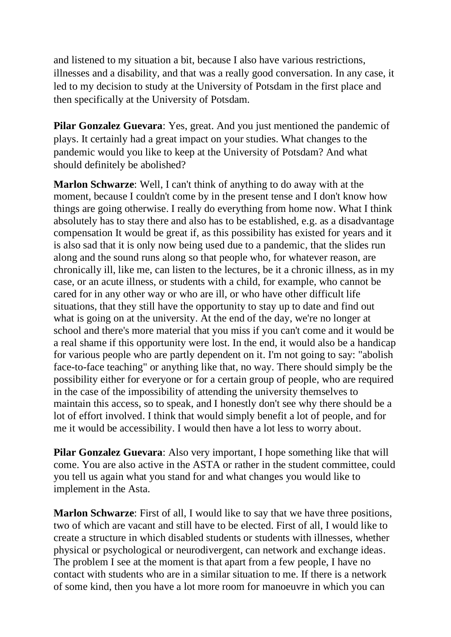and listened to my situation a bit, because I also have various restrictions, illnesses and a disability, and that was a really good conversation. In any case, it led to my decision to study at the University of Potsdam in the first place and then specifically at the University of Potsdam.

**Pilar Gonzalez Guevara**: Yes, great. And you just mentioned the pandemic of plays. It certainly had a great impact on your studies. What changes to the pandemic would you like to keep at the University of Potsdam? And what should definitely be abolished?

**Marlon Schwarze**: Well, I can't think of anything to do away with at the moment, because I couldn't come by in the present tense and I don't know how things are going otherwise. I really do everything from home now. What I think absolutely has to stay there and also has to be established, e.g. as a disadvantage compensation It would be great if, as this possibility has existed for years and it is also sad that it is only now being used due to a pandemic, that the slides run along and the sound runs along so that people who, for whatever reason, are chronically ill, like me, can listen to the lectures, be it a chronic illness, as in my case, or an acute illness, or students with a child, for example, who cannot be cared for in any other way or who are ill, or who have other difficult life situations, that they still have the opportunity to stay up to date and find out what is going on at the university. At the end of the day, we're no longer at school and there's more material that you miss if you can't come and it would be a real shame if this opportunity were lost. In the end, it would also be a handicap for various people who are partly dependent on it. I'm not going to say: "abolish face-to-face teaching" or anything like that, no way. There should simply be the possibility either for everyone or for a certain group of people, who are required in the case of the impossibility of attending the university themselves to maintain this access, so to speak, and I honestly don't see why there should be a lot of effort involved. I think that would simply benefit a lot of people, and for me it would be accessibility. I would then have a lot less to worry about.

**Pilar Gonzalez Guevara**: Also very important, I hope something like that will come. You are also active in the ASTA or rather in the student committee, could you tell us again what you stand for and what changes you would like to implement in the Asta.

**Marlon Schwarze**: First of all, I would like to say that we have three positions, two of which are vacant and still have to be elected. First of all, I would like to create a structure in which disabled students or students with illnesses, whether physical or psychological or neurodivergent, can network and exchange ideas. The problem I see at the moment is that apart from a few people, I have no contact with students who are in a similar situation to me. If there is a network of some kind, then you have a lot more room for manoeuvre in which you can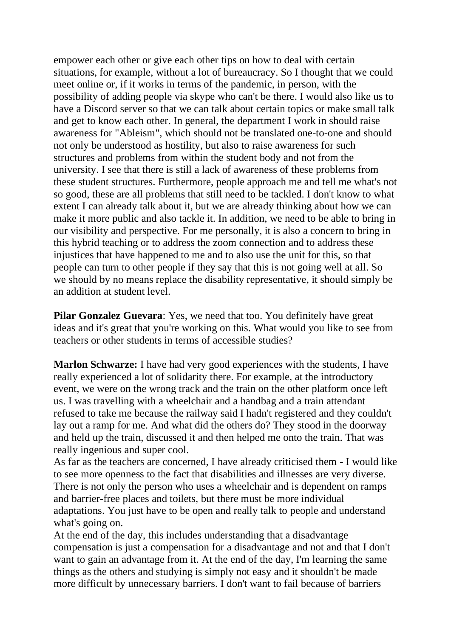empower each other or give each other tips on how to deal with certain situations, for example, without a lot of bureaucracy. So I thought that we could meet online or, if it works in terms of the pandemic, in person, with the possibility of adding people via skype who can't be there. I would also like us to have a Discord server so that we can talk about certain topics or make small talk and get to know each other. In general, the department I work in should raise awareness for "Ableism", which should not be translated one-to-one and should not only be understood as hostility, but also to raise awareness for such structures and problems from within the student body and not from the university. I see that there is still a lack of awareness of these problems from these student structures. Furthermore, people approach me and tell me what's not so good, these are all problems that still need to be tackled. I don't know to what extent I can already talk about it, but we are already thinking about how we can make it more public and also tackle it. In addition, we need to be able to bring in our visibility and perspective. For me personally, it is also a concern to bring in this hybrid teaching or to address the zoom connection and to address these injustices that have happened to me and to also use the unit for this, so that people can turn to other people if they say that this is not going well at all. So we should by no means replace the disability representative, it should simply be an addition at student level.

**Pilar Gonzalez Guevara:** Yes, we need that too. You definitely have great ideas and it's great that you're working on this. What would you like to see from teachers or other students in terms of accessible studies?

**Marlon Schwarze:** I have had very good experiences with the students, I have really experienced a lot of solidarity there. For example, at the introductory event, we were on the wrong track and the train on the other platform once left us. I was travelling with a wheelchair and a handbag and a train attendant refused to take me because the railway said I hadn't registered and they couldn't lay out a ramp for me. And what did the others do? They stood in the doorway and held up the train, discussed it and then helped me onto the train. That was really ingenious and super cool.

As far as the teachers are concerned, I have already criticised them - I would like to see more openness to the fact that disabilities and illnesses are very diverse. There is not only the person who uses a wheelchair and is dependent on ramps and barrier-free places and toilets, but there must be more individual adaptations. You just have to be open and really talk to people and understand what's going on.

At the end of the day, this includes understanding that a disadvantage compensation is just a compensation for a disadvantage and not and that I don't want to gain an advantage from it. At the end of the day, I'm learning the same things as the others and studying is simply not easy and it shouldn't be made more difficult by unnecessary barriers. I don't want to fail because of barriers